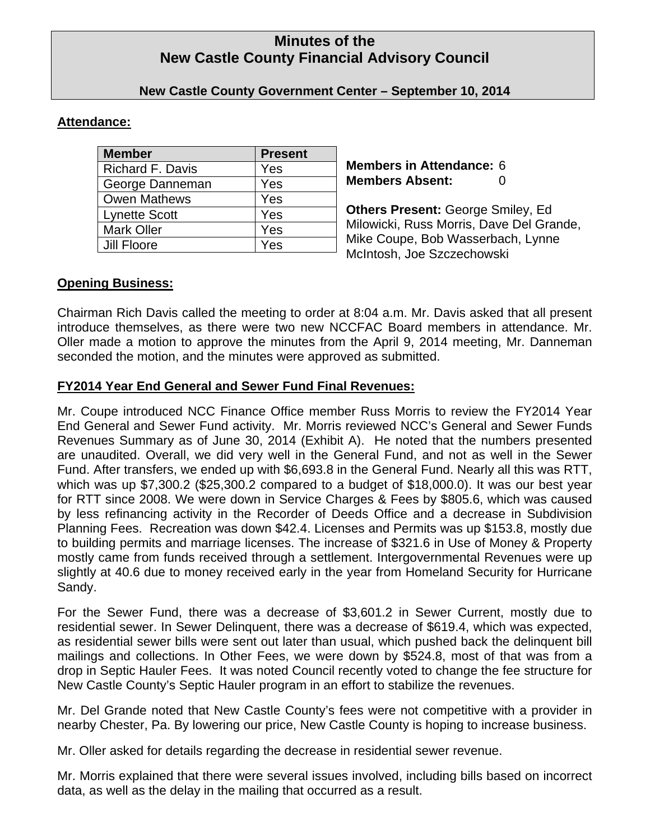# **Minutes of the New Castle County Financial Advisory Council**

# **New Castle County Government Center – September 10, 2014**

# **Attendance:**

| <b>Member</b>           | <b>Present</b> |
|-------------------------|----------------|
| <b>Richard F. Davis</b> | Yes            |
| George Danneman         | Yes            |
| <b>Owen Mathews</b>     | Yes            |
| <b>Lynette Scott</b>    | Yes            |
| <b>Mark Oller</b>       | Yes            |
| Jill Floore             | Yes            |

**Members in Attendance:** 6 **Members Absent:** 0

**Others Present:** George Smiley, Ed Milowicki, Russ Morris, Dave Del Grande, Mike Coupe, Bob Wasserbach, Lynne McIntosh, Joe Szczechowski

# **Opening Business:**

Chairman Rich Davis called the meeting to order at 8:04 a.m. Mr. Davis asked that all present introduce themselves, as there were two new NCCFAC Board members in attendance. Mr. Oller made a motion to approve the minutes from the April 9, 2014 meeting, Mr. Danneman seconded the motion, and the minutes were approved as submitted.

# **FY2014 Year End General and Sewer Fund Final Revenues:**

Mr. Coupe introduced NCC Finance Office member Russ Morris to review the FY2014 Year End General and Sewer Fund activity. Mr. Morris reviewed NCC's General and Sewer Funds Revenues Summary as of June 30, 2014 (Exhibit A). He noted that the numbers presented are unaudited. Overall, we did very well in the General Fund, and not as well in the Sewer Fund. After transfers, we ended up with \$6,693.8 in the General Fund. Nearly all this was RTT, which was up \$7,300.2 (\$25,300.2 compared to a budget of \$18,000.0). It was our best year for RTT since 2008. We were down in Service Charges & Fees by \$805.6, which was caused by less refinancing activity in the Recorder of Deeds Office and a decrease in Subdivision Planning Fees. Recreation was down \$42.4. Licenses and Permits was up \$153.8, mostly due to building permits and marriage licenses. The increase of \$321.6 in Use of Money & Property mostly came from funds received through a settlement. Intergovernmental Revenues were up slightly at 40.6 due to money received early in the year from Homeland Security for Hurricane Sandy.

For the Sewer Fund, there was a decrease of \$3,601.2 in Sewer Current, mostly due to residential sewer. In Sewer Delinquent, there was a decrease of \$619.4, which was expected, as residential sewer bills were sent out later than usual, which pushed back the delinquent bill mailings and collections. In Other Fees, we were down by \$524.8, most of that was from a drop in Septic Hauler Fees. It was noted Council recently voted to change the fee structure for New Castle County's Septic Hauler program in an effort to stabilize the revenues.

Mr. Del Grande noted that New Castle County's fees were not competitive with a provider in nearby Chester, Pa. By lowering our price, New Castle County is hoping to increase business.

Mr. Oller asked for details regarding the decrease in residential sewer revenue.

Mr. Morris explained that there were several issues involved, including bills based on incorrect data, as well as the delay in the mailing that occurred as a result.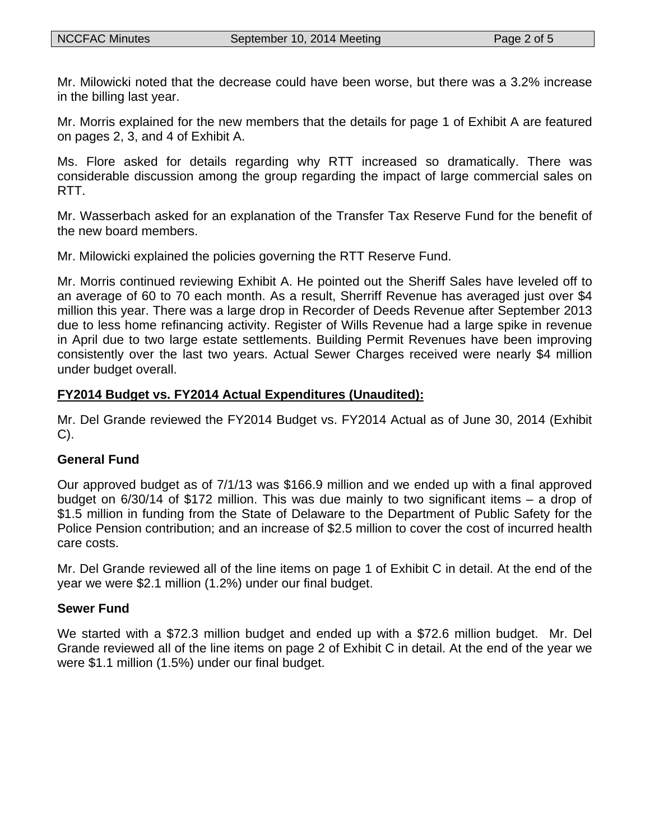Mr. Milowicki noted that the decrease could have been worse, but there was a 3.2% increase in the billing last year.

Mr. Morris explained for the new members that the details for page 1 of Exhibit A are featured on pages 2, 3, and 4 of Exhibit A.

Ms. Flore asked for details regarding why RTT increased so dramatically. There was considerable discussion among the group regarding the impact of large commercial sales on RTT.

Mr. Wasserbach asked for an explanation of the Transfer Tax Reserve Fund for the benefit of the new board members.

Mr. Milowicki explained the policies governing the RTT Reserve Fund.

Mr. Morris continued reviewing Exhibit A. He pointed out the Sheriff Sales have leveled off to an average of 60 to 70 each month. As a result, Sherriff Revenue has averaged just over \$4 million this year. There was a large drop in Recorder of Deeds Revenue after September 2013 due to less home refinancing activity. Register of Wills Revenue had a large spike in revenue in April due to two large estate settlements. Building Permit Revenues have been improving consistently over the last two years. Actual Sewer Charges received were nearly \$4 million under budget overall.

# **FY2014 Budget vs. FY2014 Actual Expenditures (Unaudited):**

Mr. Del Grande reviewed the FY2014 Budget vs. FY2014 Actual as of June 30, 2014 (Exhibit C).

## **General Fund**

Our approved budget as of 7/1/13 was \$166.9 million and we ended up with a final approved budget on 6/30/14 of \$172 million. This was due mainly to two significant items – a drop of \$1.5 million in funding from the State of Delaware to the Department of Public Safety for the Police Pension contribution; and an increase of \$2.5 million to cover the cost of incurred health care costs.

Mr. Del Grande reviewed all of the line items on page 1 of Exhibit C in detail. At the end of the year we were \$2.1 million (1.2%) under our final budget.

## **Sewer Fund**

We started with a \$72.3 million budget and ended up with a \$72.6 million budget. Mr. Del Grande reviewed all of the line items on page 2 of Exhibit C in detail. At the end of the year we were \$1.1 million (1.5%) under our final budget.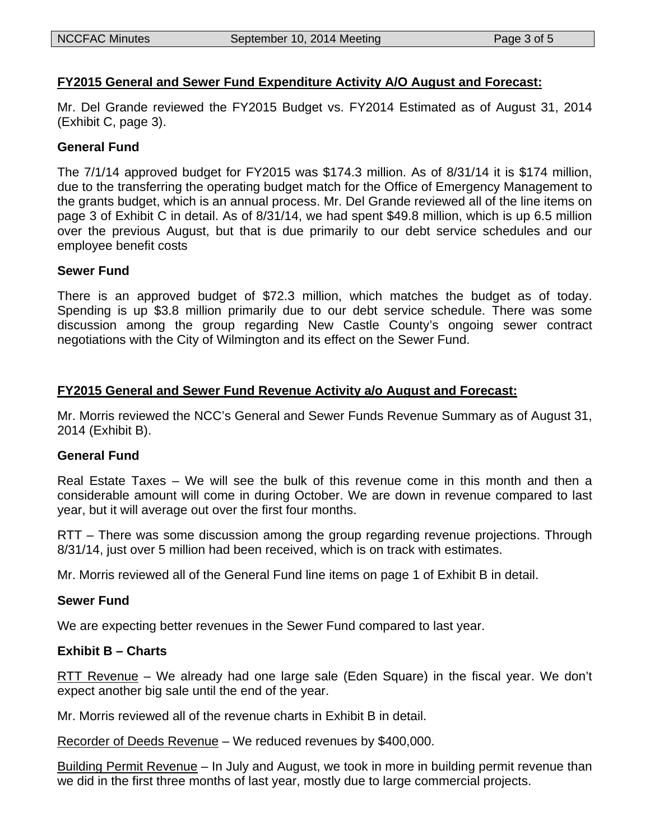# **FY2015 General and Sewer Fund Expenditure Activity A/O August and Forecast:**

Mr. Del Grande reviewed the FY2015 Budget vs. FY2014 Estimated as of August 31, 2014 (Exhibit C, page 3).

## **General Fund**

The 7/1/14 approved budget for FY2015 was \$174.3 million. As of 8/31/14 it is \$174 million, due to the transferring the operating budget match for the Office of Emergency Management to the grants budget, which is an annual process. Mr. Del Grande reviewed all of the line items on page 3 of Exhibit C in detail. As of 8/31/14, we had spent \$49.8 million, which is up 6.5 million over the previous August, but that is due primarily to our debt service schedules and our employee benefit costs

# **Sewer Fund**

There is an approved budget of \$72.3 million, which matches the budget as of today. Spending is up \$3.8 million primarily due to our debt service schedule. There was some discussion among the group regarding New Castle County's ongoing sewer contract negotiations with the City of Wilmington and its effect on the Sewer Fund.

## **FY2015 General and Sewer Fund Revenue Activity a/o August and Forecast:**

Mr. Morris reviewed the NCC's General and Sewer Funds Revenue Summary as of August 31, 2014 (Exhibit B).

## **General Fund**

Real Estate Taxes – We will see the bulk of this revenue come in this month and then a considerable amount will come in during October. We are down in revenue compared to last year, but it will average out over the first four months.

RTT – There was some discussion among the group regarding revenue projections. Through 8/31/14, just over 5 million had been received, which is on track with estimates.

Mr. Morris reviewed all of the General Fund line items on page 1 of Exhibit B in detail.

## **Sewer Fund**

We are expecting better revenues in the Sewer Fund compared to last year.

## **Exhibit B – Charts**

RTT Revenue – We already had one large sale (Eden Square) in the fiscal year. We don't expect another big sale until the end of the year.

Mr. Morris reviewed all of the revenue charts in Exhibit B in detail.

Recorder of Deeds Revenue – We reduced revenues by \$400,000.

Building Permit Revenue – In July and August, we took in more in building permit revenue than we did in the first three months of last year, mostly due to large commercial projects.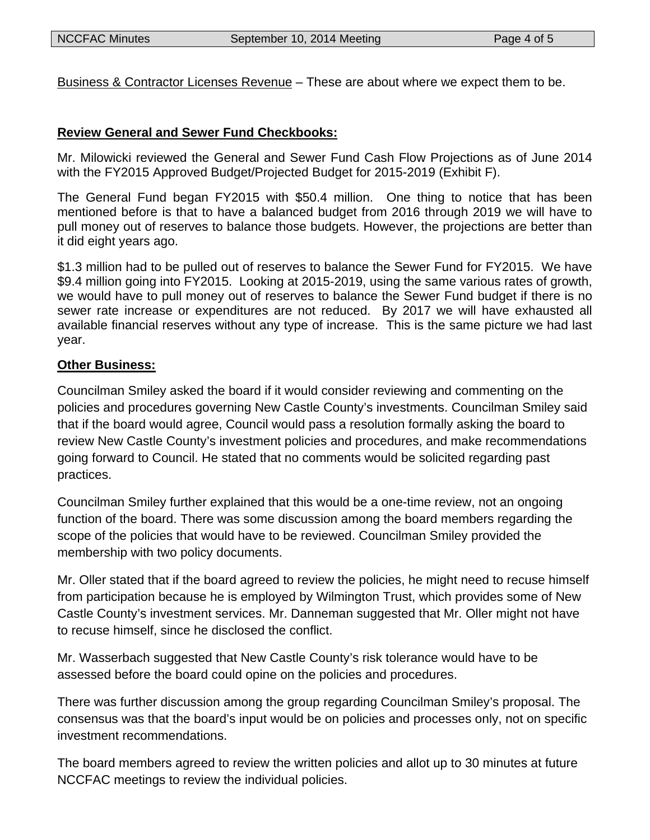Business & Contractor Licenses Revenue – These are about where we expect them to be.

# **Review General and Sewer Fund Checkbooks:**

Mr. Milowicki reviewed the General and Sewer Fund Cash Flow Projections as of June 2014 with the FY2015 Approved Budget/Projected Budget for 2015-2019 (Exhibit F).

The General Fund began FY2015 with \$50.4 million. One thing to notice that has been mentioned before is that to have a balanced budget from 2016 through 2019 we will have to pull money out of reserves to balance those budgets. However, the projections are better than it did eight years ago.

\$1.3 million had to be pulled out of reserves to balance the Sewer Fund for FY2015. We have \$9.4 million going into FY2015. Looking at 2015-2019, using the same various rates of growth, we would have to pull money out of reserves to balance the Sewer Fund budget if there is no sewer rate increase or expenditures are not reduced. By 2017 we will have exhausted all available financial reserves without any type of increase. This is the same picture we had last year.

# **Other Business:**

Councilman Smiley asked the board if it would consider reviewing and commenting on the policies and procedures governing New Castle County's investments. Councilman Smiley said that if the board would agree, Council would pass a resolution formally asking the board to review New Castle County's investment policies and procedures, and make recommendations going forward to Council. He stated that no comments would be solicited regarding past practices.

Councilman Smiley further explained that this would be a one-time review, not an ongoing function of the board. There was some discussion among the board members regarding the scope of the policies that would have to be reviewed. Councilman Smiley provided the membership with two policy documents.

Mr. Oller stated that if the board agreed to review the policies, he might need to recuse himself from participation because he is employed by Wilmington Trust, which provides some of New Castle County's investment services. Mr. Danneman suggested that Mr. Oller might not have to recuse himself, since he disclosed the conflict.

Mr. Wasserbach suggested that New Castle County's risk tolerance would have to be assessed before the board could opine on the policies and procedures.

There was further discussion among the group regarding Councilman Smiley's proposal. The consensus was that the board's input would be on policies and processes only, not on specific investment recommendations.

The board members agreed to review the written policies and allot up to 30 minutes at future NCCFAC meetings to review the individual policies.